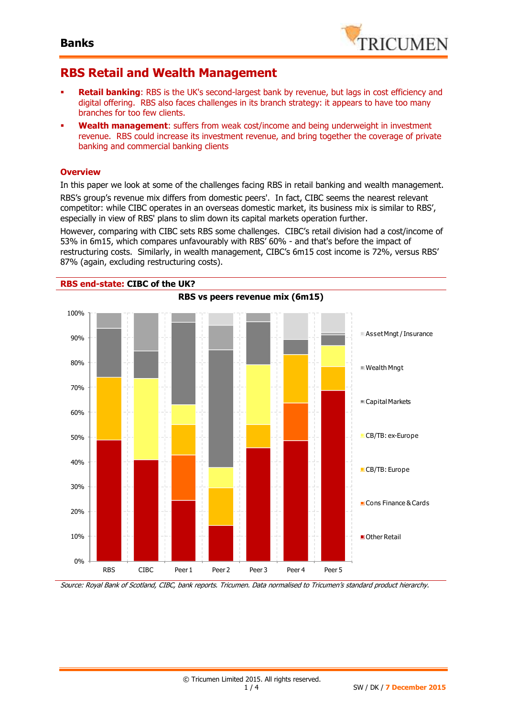

# **RBS Retail and Wealth Management**

- **Retail banking:** RBS is the UK's second-largest bank by revenue, but lags in cost efficiency and digital offering. RBS also faces challenges in its branch strategy: it appears to have too many branches for too few clients.
- **Wealth management**: suffers from weak cost/income and being underweight in investment revenue. RBS could increase its investment revenue, and bring together the coverage of private banking and commercial banking clients

#### **Overview**

In this paper we look at some of the challenges facing RBS in retail banking and wealth management. RBS's group's revenue mix differs from domestic peers'. In fact, CIBC seems the nearest relevant competitor: while CIBC operates in an overseas domestic market, its business mix is similar to RBS', especially in view of RBS' plans to slim down its capital markets operation further.

However, comparing with CIBC sets RBS some challenges. CIBC's retail division had a cost/income of 53% in 6m15, which compares unfavourably with RBS' 60% - and that's before the impact of restructuring costs. Similarly, in wealth management, CIBC's 6m15 cost income is 72%, versus RBS' 87% (again, excluding restructuring costs).



Source: Royal Bank of Scotland, CIBC, bank reports. Tricumen. Data normalised to Tricumen's standard product hierarchy.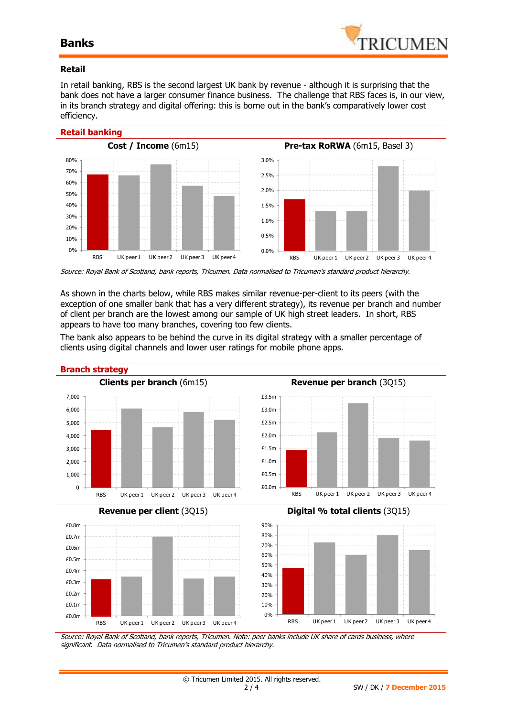

### **Banks**

#### **Retail**

In retail banking, RBS is the second largest UK bank by revenue - although it is surprising that the bank does not have a larger consumer finance business. The challenge that RBS faces is, in our view, in its branch strategy and digital offering: this is borne out in the bank's comparatively lower cost efficiency.



Source: Royal Bank of Scotland, bank reports, Tricumen. Data normalised to Tricumen's standard product hierarchy.

As shown in the charts below, while RBS makes similar revenue-per-client to its peers (with the exception of one smaller bank that has a very different strategy), its revenue per branch and number of client per branch are the lowest among our sample of UK high street leaders. In short, RBS appears to have too many branches, covering too few clients.

The bank also appears to be behind the curve in its digital strategy with a smaller percentage of clients using digital channels and lower user ratings for mobile phone apps.



Source: Royal Bank of Scotland, bank reports, Tricumen. Note: peer banks include UK share of cards business, where significant. Data normalised to Tricumen's standard product hierarchy.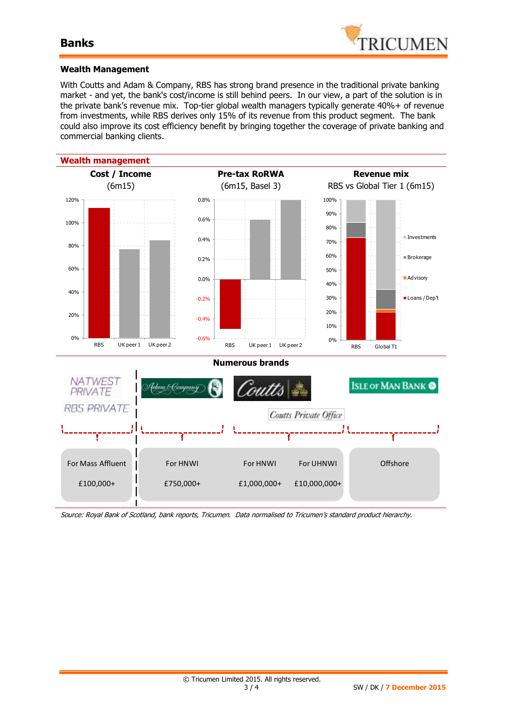

#### **Wealth Management**

With Coutts and Adam & Company, RBS has strong brand presence in the traditional private banking market - and yet, the bank's cost/income is still behind peers. In our view, a part of the solution is in the private bank's revenue mix. Top-tier global wealth managers typically generate 40%+ of revenue from investments, while RBS derives only 15% of its revenue from this product segment. The bank could also improve its cost efficiency benefit by bringing together the coverage of private banking and commercial banking clients.



Source: Royal Bank of Scotland, bank reports, Tricumen. Data normalised to Tricumen's standard product hierarchy.